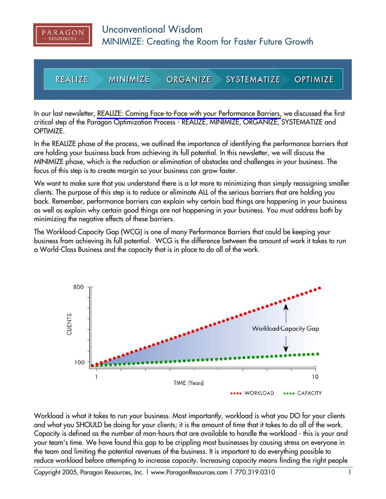

**REALIZE MINIMIZE SYSTEMATIZE OPTIMIZE ORGANIZE** 

In our last newsletter, [REALIZE: Coming Face-to-Face with your Performance Barriers,](http://www.ParagonResources.com/library/oyb1.pdf) we discussed the first critical step of the Paragon Optimization Process - REALIZE, MINIMIZE, ORGANIZE, SYSTEMATIZE and OPTIMIZE.

In the REALIZE phase of the process, we outlined the importance of identifying the performance barriers that are holding your business back from achieving its full potential. In this newsletter, we will discuss the MINIMIZE phase, which is the reduction or elimination of obstacles and challenges in your business. The focus of this step is to create margin so your business can grow faster.

We want to make sure that you understand there is a lot more to minimizing than simply reassigning smaller clients. The purpose of this step is to reduce or eliminate ALL of the serious barriers that are holding you back. Remember, performance barriers can explain why certain bad things are happening in your business as well as explain why certain good things are not happening in your business. You must address both by minimizing the negative effects of these barriers.

The Workload-Capacity Gap (WCG) is one of many Performance Barriers that could be keeping your business from achieving its full potential. WCG is the difference between the amount of work it takes to run a World-Class Business and the capacity that is in place to do all of the work.



Workload is what it takes to run your business. Most importantly, workload is what you DO for your clients and what you SHOULD be doing for your clients; it is the amount of time that it takes to do all of the work. Capacity is defined as the number of man-hours that are available to handle the workload - this is your and your team's time. We have found this gap to be crippling most businesses by causing stress on everyone in the team and limiting the potential revenues of the business. It is important to do everything possible to reduce workload before attempting to increase capacity. Increasing capacity means finding the right people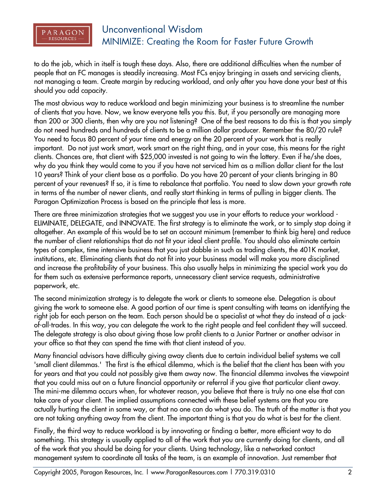

## Unconventional Wisdom MINIMIZE: Creating the Room for Faster Future Growth

to do the job, which in itself is tough these days. Also, there are additional difficulties when the number of people that an FC manages is steadily increasing. Most FCs enjoy bringing in assets and servicing clients, not managing a team. Create margin by reducing workload, and only after you have done your best at this should you add capacity.

The most obvious way to reduce workload and begin minimizing your business is to streamline the number of clients that you have. Now, we know everyone tells you this. But, if you personally are managing more than 200 or 300 clients, then why are you not listening? One of the best reasons to do this is that you simply do not need hundreds and hundreds of clients to be a million dollar producer. Remember the 80/20 rule? You need to focus 80 percent of your time and energy on the 20 percent of your work that is really important. Do not just work smart, work smart on the right thing, and in your case, this means for the right clients. Chances are, that client with \$25,000 invested is not going to win the lottery. Even if he/she does, why do you think they would come to you if you have not serviced him as a million dollar client for the last 10 years? Think of your client base as a portfolio. Do you have 20 percent of your clients bringing in 80 percent of your revenues? If so, it is time to rebalance that portfolio. You need to slow down your growth rate in terms of the number of newer clients, and really start thinking in terms of pulling in bigger clients. The Paragon Optimization Process is based on the principle that less is more.

There are three minimization strategies that we suggest you use in your efforts to reduce your workload - ELIMINATE, DELEGATE, and INNOVATE. The first strategy is to eliminate the work, or to simply stop doing it altogether. An example of this would be to set an account minimum (remember to think big here) and reduce the number of client relationships that do not fit your ideal client profile. You should also eliminate certain types of complex, time intensive business that you just dabble in such as trading clients, the 401K market, institutions, etc. Eliminating clients that do not fit into your business model will make you more disciplined and increase the profitability of your business. This also usually helps in minimizing the special work you do for them such as extensive performance reports, unnecessary client service requests, administrative paperwork, etc.

The second minimization strategy is to delegate the work or clients to someone else. Delegation is about giving the work to someone else. A good portion of our time is spent consulting with teams on identifying the right job for each person on the team. Each person should be a specialist at what they do instead of a jackof-all-trades. In this way, you can delegate the work to the right people and feel confident they will succeed. The delegate strategy is also about giving those low profit clients to a Junior Partner or another advisor in your office so that they can spend the time with that client instead of you.

Many financial advisors have difficulty giving away clients due to certain individual belief systems we call 'small client dilemmas.' The first is the ethical dilemma, which is the belief that the client has been with you for years and that you could not possibly give them away now. The financial dilemma involves the viewpoint that you could miss out on a future financial opportunity or referral if you give that particular client away. The mini-me dilemma occurs when, for whatever reason, you believe that there is truly no one else that can take care of your client. The implied assumptions connected with these belief systems are that you are actually hurting the client in some way, or that no one can do what you do. The truth of the matter is that you are not taking anything away from the client. The important thing is that you do what is best for the client.

Finally, the third way to reduce workload is by innovating or finding a better, more efficient way to do something. This strategy is usually applied to all of the work that you are currently doing for clients, and all of the work that you should be doing for your clients. Using technology, like a networked contact management system to coordinate all tasks of the team, is an example of innovation. Just remember that